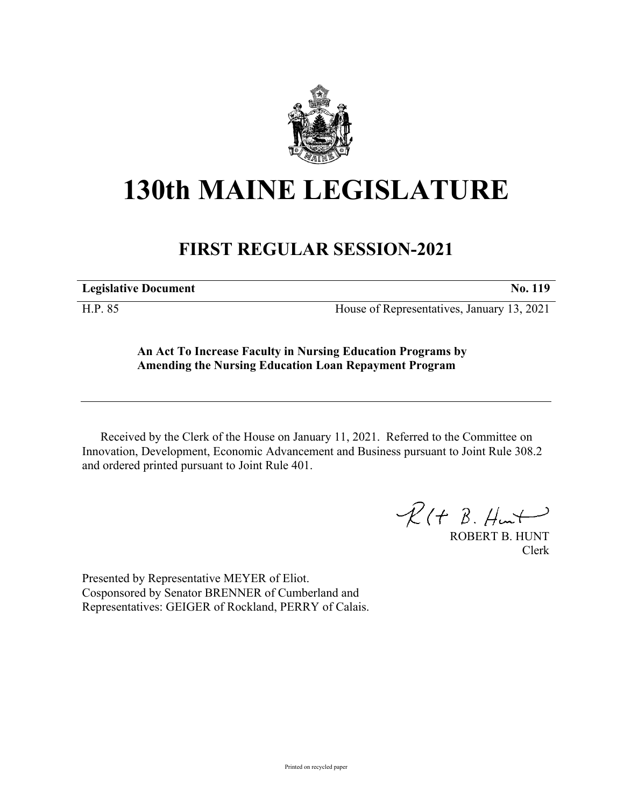

## **130th MAINE LEGISLATURE**

## **FIRST REGULAR SESSION-2021**

**Legislative Document No. 119**

H.P. 85 House of Representatives, January 13, 2021

**An Act To Increase Faculty in Nursing Education Programs by Amending the Nursing Education Loan Repayment Program**

Received by the Clerk of the House on January 11, 2021. Referred to the Committee on Innovation, Development, Economic Advancement and Business pursuant to Joint Rule 308.2 and ordered printed pursuant to Joint Rule 401.

 $R(H B. H<sup>u</sup>)$ 

ROBERT B. HUNT Clerk

Presented by Representative MEYER of Eliot. Cosponsored by Senator BRENNER of Cumberland and Representatives: GEIGER of Rockland, PERRY of Calais.